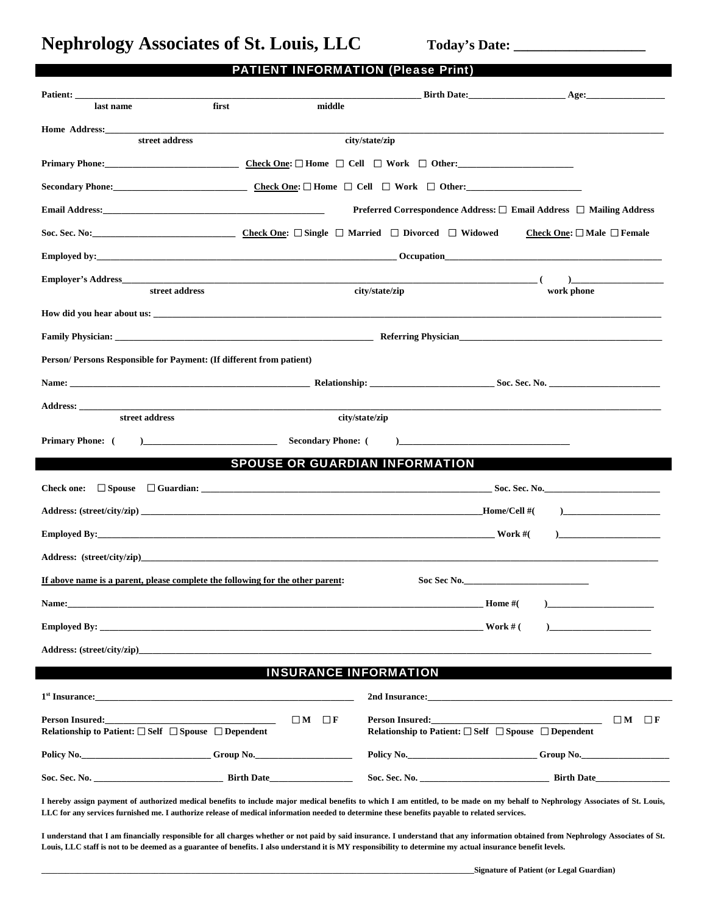Nephrology Associates of St. Louis, LLC Today's Date:

| last name                                                                                                                                                                                                                      | first                                                                      | middle                                |                                                                                                                                                                                                                                                                                                                                                                                                                     |                                            |                                       |
|--------------------------------------------------------------------------------------------------------------------------------------------------------------------------------------------------------------------------------|----------------------------------------------------------------------------|---------------------------------------|---------------------------------------------------------------------------------------------------------------------------------------------------------------------------------------------------------------------------------------------------------------------------------------------------------------------------------------------------------------------------------------------------------------------|--------------------------------------------|---------------------------------------|
| <b>Home Address:</b>                                                                                                                                                                                                           |                                                                            |                                       |                                                                                                                                                                                                                                                                                                                                                                                                                     |                                            |                                       |
| street address                                                                                                                                                                                                                 |                                                                            | city/state/zip                        |                                                                                                                                                                                                                                                                                                                                                                                                                     |                                            |                                       |
|                                                                                                                                                                                                                                |                                                                            |                                       |                                                                                                                                                                                                                                                                                                                                                                                                                     |                                            |                                       |
|                                                                                                                                                                                                                                |                                                                            |                                       |                                                                                                                                                                                                                                                                                                                                                                                                                     |                                            |                                       |
|                                                                                                                                                                                                                                |                                                                            |                                       | Preferred Correspondence Address: □ Email Address □ Mailing Address                                                                                                                                                                                                                                                                                                                                                 |                                            |                                       |
|                                                                                                                                                                                                                                |                                                                            |                                       |                                                                                                                                                                                                                                                                                                                                                                                                                     | Check One: $\square$ Male $\square$ Female |                                       |
| Employed by: example and the contract of the contract of the contract of the contract of the contract of the contract of the contract of the contract of the contract of the contract of the contract of the contract of the c |                                                                            |                                       |                                                                                                                                                                                                                                                                                                                                                                                                                     |                                            |                                       |
| Employer's Address                                                                                                                                                                                                             | the control of the control of the control of the control of the control of |                                       | $\overline{\phantom{a}}$ ( $\overline{\phantom{a}}$ ) and $\overline{\phantom{a}}$ ( $\overline{\phantom{a}}$ ) and $\overline{\phantom{a}}$ ( $\overline{\phantom{a}}$ ) and $\overline{\phantom{a}}$ ( $\overline{\phantom{a}}$ ) and $\overline{\phantom{a}}$ ( $\overline{\phantom{a}}$ ) and $\overline{\phantom{a}}$ ( $\overline{\phantom{a}}$ ) and $\overline{\phantom{a}}$ ( $\overline{\phantom{a}}$ ) a | $\rightarrow$                              |                                       |
| street address                                                                                                                                                                                                                 |                                                                            | city/state/zip                        |                                                                                                                                                                                                                                                                                                                                                                                                                     | work phone                                 |                                       |
|                                                                                                                                                                                                                                |                                                                            |                                       |                                                                                                                                                                                                                                                                                                                                                                                                                     |                                            |                                       |
|                                                                                                                                                                                                                                |                                                                            |                                       |                                                                                                                                                                                                                                                                                                                                                                                                                     |                                            |                                       |
| Person/Persons Responsible for Payment: (If different from patient)                                                                                                                                                            |                                                                            |                                       |                                                                                                                                                                                                                                                                                                                                                                                                                     |                                            |                                       |
|                                                                                                                                                                                                                                |                                                                            |                                       |                                                                                                                                                                                                                                                                                                                                                                                                                     |                                            |                                       |
|                                                                                                                                                                                                                                |                                                                            |                                       |                                                                                                                                                                                                                                                                                                                                                                                                                     |                                            |                                       |
| street address                                                                                                                                                                                                                 |                                                                            | city/state/zip                        |                                                                                                                                                                                                                                                                                                                                                                                                                     |                                            |                                       |
| <b>Primary Phone:</b> (                                                                                                                                                                                                        | Secondary Phone: (                                                         |                                       | the control of the control of the control of the control of the control of the control of                                                                                                                                                                                                                                                                                                                           |                                            |                                       |
|                                                                                                                                                                                                                                |                                                                            | <b>SPOUSE OR GUARDIAN INFORMATION</b> |                                                                                                                                                                                                                                                                                                                                                                                                                     |                                            |                                       |
|                                                                                                                                                                                                                                |                                                                            |                                       |                                                                                                                                                                                                                                                                                                                                                                                                                     |                                            |                                       |
|                                                                                                                                                                                                                                |                                                                            |                                       |                                                                                                                                                                                                                                                                                                                                                                                                                     |                                            | $\begin{array}{c} \hline \end{array}$ |
|                                                                                                                                                                                                                                |                                                                            |                                       |                                                                                                                                                                                                                                                                                                                                                                                                                     |                                            |                                       |
| Address: (street/city/zip) and the contract of the contract of the contract of the contract of the contract of the contract of the contract of the contract of the contract of the contract of the contract of the contract of |                                                                            |                                       |                                                                                                                                                                                                                                                                                                                                                                                                                     |                                            |                                       |
| If above name is a parent, please complete the following for the other parent:                                                                                                                                                 |                                                                            |                                       | Soc Sec No.                                                                                                                                                                                                                                                                                                                                                                                                         |                                            |                                       |
| Name: the contract of the contract of the contract of the contract of the contract of the contract of the contract of the contract of the contract of the contract of the contract of the contract of the contract of the cont |                                                                            |                                       |                                                                                                                                                                                                                                                                                                                                                                                                                     | Home # $($                                 |                                       |
|                                                                                                                                                                                                                                |                                                                            |                                       |                                                                                                                                                                                                                                                                                                                                                                                                                     |                                            | the company of the company of the     |
|                                                                                                                                                                                                                                |                                                                            |                                       |                                                                                                                                                                                                                                                                                                                                                                                                                     |                                            |                                       |
| Address: (street/city/zip)                                                                                                                                                                                                     |                                                                            |                                       |                                                                                                                                                                                                                                                                                                                                                                                                                     |                                            |                                       |
|                                                                                                                                                                                                                                |                                                                            | <b>INSURANCE INFORMATION</b>          |                                                                                                                                                                                                                                                                                                                                                                                                                     |                                            |                                       |
|                                                                                                                                                                                                                                |                                                                            |                                       | 2nd Insurance: the contract of the contract of the contract of the contract of the contract of the contract of the contract of the contract of the contract of the contract of the contract of the contract of the contract of                                                                                                                                                                                      |                                            |                                       |
| <b>Person Insured:</b><br>Relationship to Patient: $\square$ Self $\square$ Spouse $\square$ Dependent                                                                                                                         | <u> 1990 - Johann Barn, mars ann an t-Amhain</u>                           | $\Box M$ $\Box F$                     | <b>Person Insured:</b> The contract of the contract of the contract of the contract of the contract of the contract of the contract of the contract of the contract of the contract of the contract of the contract of the contract<br>Relationship to Patient: $\square$ Self $\square$ Spouse $\square$ Dependent                                                                                                 |                                            | $\Box M$ $\Box F$                     |
|                                                                                                                                                                                                                                |                                                                            |                                       |                                                                                                                                                                                                                                                                                                                                                                                                                     |                                            |                                       |
| Policy No. __________________________________Group No. __________________________                                                                                                                                              |                                                                            |                                       |                                                                                                                                                                                                                                                                                                                                                                                                                     |                                            |                                       |
|                                                                                                                                                                                                                                |                                                                            |                                       |                                                                                                                                                                                                                                                                                                                                                                                                                     |                                            |                                       |

**LLC for any services furnished me. I authorize release of medical information needed to determine these benefits payable to related services.** 

**I understand that I am financially responsible for all charges whether or not paid by said insurance. I understand that any information obtained from Nephrology Associates of St.**  Louis, LLC staff is not to be deemed as a guarantee of benefits. I also understand it is MY responsibility to determine my actual insurance benefit levels.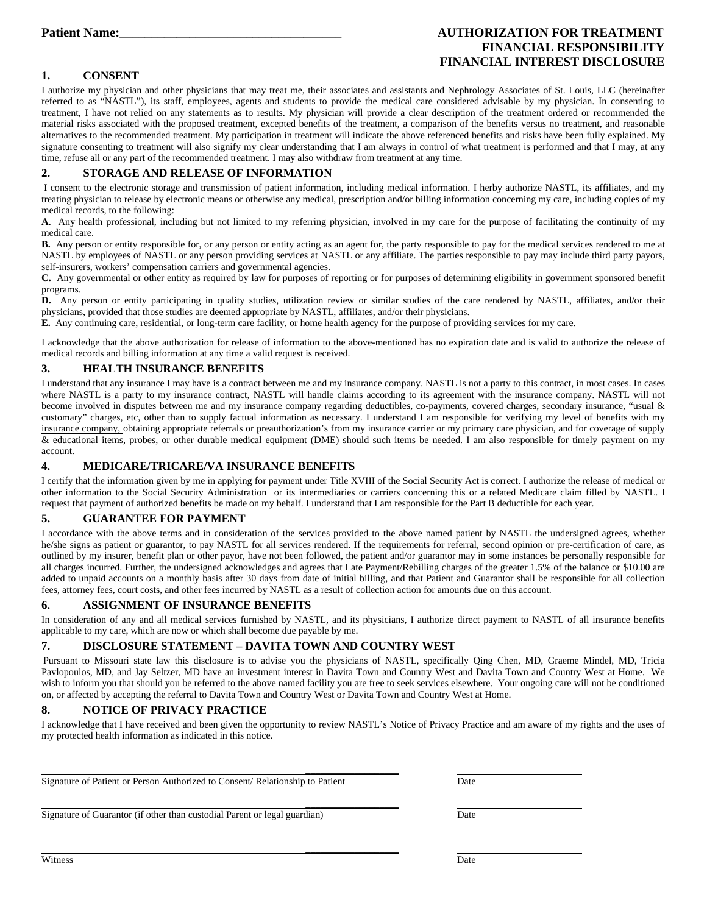#### **Patient Name:**  $\qquad \qquad \text{AUTHORIZATION FOR TREATMENT}$ **FINANCIAL RESPONSIBILITY FINANCIAL INTEREST DISCLOSURE**

#### **1. CONSENT**

I authorize my physician and other physicians that may treat me, their associates and assistants and Nephrology Associates of St. Louis, LLC (hereinafter referred to as "NASTL"), its staff, employees, agents and students to provide the medical care considered advisable by my physician. In consenting to treatment, I have not relied on any statements as to results. My physician will provide a clear description of the treatment ordered or recommended the material risks associated with the proposed treatment, excepted benefits of the treatment, a comparison of the benefits versus no treatment, and reasonable alternatives to the recommended treatment. My participation in treatment will indicate the above referenced benefits and risks have been fully explained. My signature consenting to treatment will also signify my clear understanding that I am always in control of what treatment is performed and that I may, at any time, refuse all or any part of the recommended treatment. I may also withdraw from treatment at any time.

#### **2. STORAGE AND RELEASE OF INFORMATION**

 I consent to the electronic storage and transmission of patient information, including medical information. I herby authorize NASTL, its affiliates, and my treating physician to release by electronic means or otherwise any medical, prescription and/or billing information concerning my care, including copies of my medical records, to the following:

**A**. Any health professional, including but not limited to my referring physician, involved in my care for the purpose of facilitating the continuity of my medical care.

**B.** Any person or entity responsible for, or any person or entity acting as an agent for, the party responsible to pay for the medical services rendered to me at NASTL by employees of NASTL or any person providing services at NASTL or any affiliate. The parties responsible to pay may include third party payors, self-insurers, workers' compensation carriers and governmental agencies.

**C.** Any governmental or other entity as required by law for purposes of reporting or for purposes of determining eligibility in government sponsored benefit programs.

**D.** Any person or entity participating in quality studies, utilization review or similar studies of the care rendered by NASTL, affiliates, and/or their physicians, provided that those studies are deemed appropriate by NASTL, affiliates, and/or their physicians.

**E.** Any continuing care, residential, or long-term care facility, or home health agency for the purpose of providing services for my care.

I acknowledge that the above authorization for release of information to the above-mentioned has no expiration date and is valid to authorize the release of medical records and billing information at any time a valid request is received.

#### **3. HEALTH INSURANCE BENEFITS**

I understand that any insurance I may have is a contract between me and my insurance company. NASTL is not a party to this contract, in most cases. In cases where NASTL is a party to my insurance contract, NASTL will handle claims according to its agreement with the insurance company. NASTL will not become involved in disputes between me and my insurance company regarding deductibles, co-payments, covered charges, secondary insurance, "usual & customary" charges, etc, other than to supply factual information as necessary. I understand I am responsible for verifying my level of benefits with my insurance company, obtaining appropriate referrals or preauthorization's from my insurance carrier or my primary care physician, and for coverage of supply & educational items, probes, or other durable medical equipment (DME) should such items be needed. I am also responsible for timely payment on my account.

#### **4. MEDICARE/TRICARE/VA INSURANCE BENEFITS**

I certify that the information given by me in applying for payment under Title XVIII of the Social Security Act is correct. I authorize the release of medical or other information to the Social Security Administration or its intermediaries or carriers concerning this or a related Medicare claim filled by NASTL. I request that payment of authorized benefits be made on my behalf. I understand that I am responsible for the Part B deductible for each year.

#### **5. GUARANTEE FOR PAYMENT**

I accordance with the above terms and in consideration of the services provided to the above named patient by NASTL the undersigned agrees, whether he/she signs as patient or guarantor, to pay NASTL for all services rendered. If the requirements for referral, second opinion or pre-certification of care, as outlined by my insurer, benefit plan or other payor, have not been followed, the patient and/or guarantor may in some instances be personally responsible for all charges incurred. Further, the undersigned acknowledges and agrees that Late Payment/Rebilling charges of the greater 1.5% of the balance or \$10.00 are added to unpaid accounts on a monthly basis after 30 days from date of initial billing, and that Patient and Guarantor shall be responsible for all collection fees, attorney fees, court costs, and other fees incurred by NASTL as a result of collection action for amounts due on this account.

#### **6. ASSIGNMENT OF INSURANCE BENEFITS**

In consideration of any and all medical services furnished by NASTL, and its physicians, I authorize direct payment to NASTL of all insurance benefits applicable to my care, which are now or which shall become due payable by me.

#### **7. DISCLOSURE STATEMENT – DAVITA TOWN AND COUNTRY WEST**

Pursuant to Missouri state law this disclosure is to advise you the physicians of NASTL, specifically Qing Chen, MD, Graeme Mindel, MD, Tricia Pavlopoulos, MD, and Jay Seltzer, MD have an investment interest in Davita Town and Country West and Davita Town and Country West at Home. We wish to inform you that should you be referred to the above named facility you are free to seek services elsewhere. Your ongoing care will not be conditioned on, or affected by accepting the referral to Davita Town and Country West or Davita Town and Country West at Home.

#### **8. NOTICE OF PRIVACY PRACTICE**

I acknowledge that I have received and been given the opportunity to review NASTL's Notice of Privacy Practice and am aware of my rights and the uses of my protected health information as indicated in this notice.

 **\_\_\_\_\_\_\_\_\_\_\_\_\_\_\_\_\_\_\_** Signature of Patient or Person Authorized to Consent/ Relationship to Patient Date

 **\_\_\_\_\_\_\_\_\_\_\_\_\_\_\_\_\_\_\_**

 **\_\_\_\_\_\_\_\_\_\_\_\_\_\_\_\_\_\_\_** 

Signature of Guarantor (if other than custodial Parent or legal guardian) Date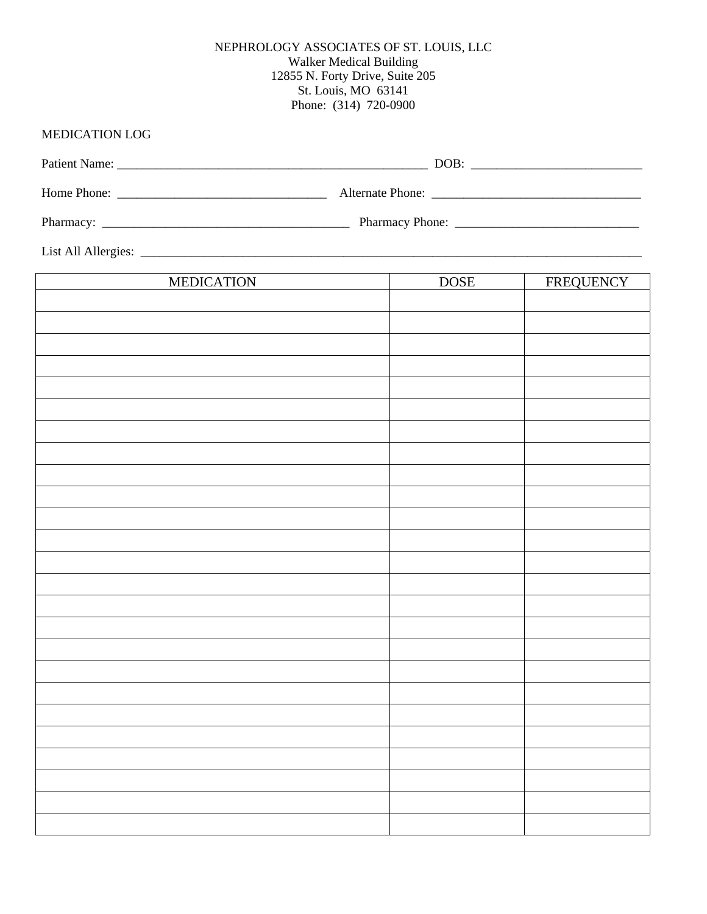#### NEPHROLOGY ASSOCIATES OF ST. LOUIS, LLC Walker Medical Building 12855 N. Forty Drive, Suite 205 St. Louis, MO 63141 Phone: (314) 720-0900

## MEDICATION LOG

| List All Allergies: |  |
|---------------------|--|

| <b>MEDICATION</b> | <b>DOSE</b> | FREQUENCY |
|-------------------|-------------|-----------|
|                   |             |           |
|                   |             |           |
|                   |             |           |
|                   |             |           |
|                   |             |           |
|                   |             |           |
|                   |             |           |
|                   |             |           |
|                   |             |           |
|                   |             |           |
|                   |             |           |
|                   |             |           |
|                   |             |           |
|                   |             |           |
|                   |             |           |
|                   |             |           |
|                   |             |           |
|                   |             |           |
|                   |             |           |
|                   |             |           |
|                   |             |           |
|                   |             |           |
|                   |             |           |
|                   |             |           |
|                   |             |           |
|                   |             |           |
|                   |             |           |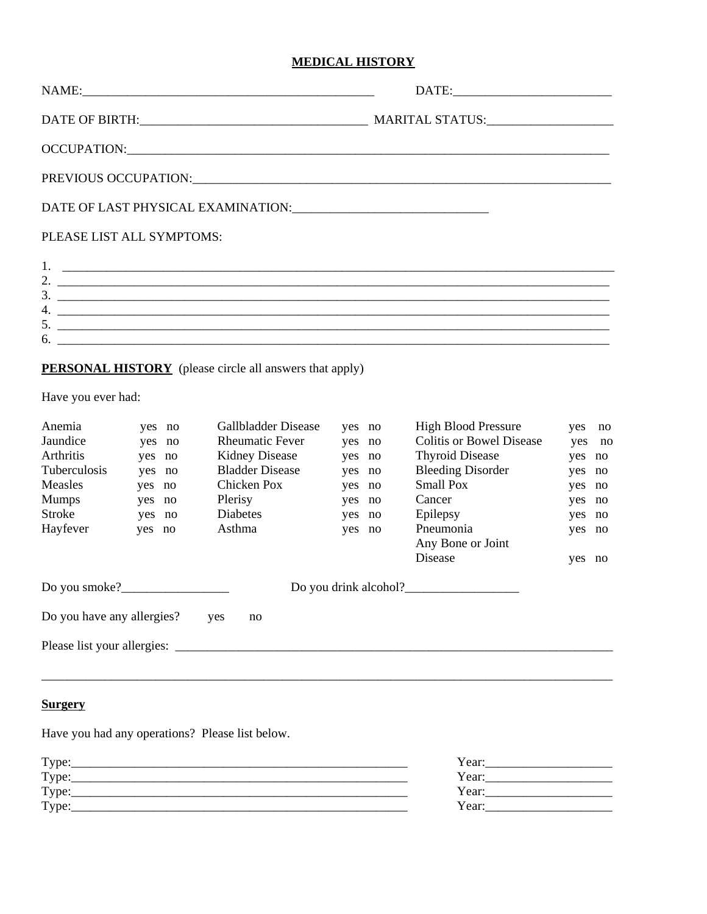#### **MEDICAL HISTORY**

|                                                                                                         |                                                                              |                                                                                                                                                  |                                                                              | PREVIOUS OCCUPATION: CONSERVATION:                                                                                                                                                                                |                                                                              |        |
|---------------------------------------------------------------------------------------------------------|------------------------------------------------------------------------------|--------------------------------------------------------------------------------------------------------------------------------------------------|------------------------------------------------------------------------------|-------------------------------------------------------------------------------------------------------------------------------------------------------------------------------------------------------------------|------------------------------------------------------------------------------|--------|
|                                                                                                         |                                                                              |                                                                                                                                                  |                                                                              |                                                                                                                                                                                                                   |                                                                              |        |
| PLEASE LIST ALL SYMPTOMS:                                                                               |                                                                              |                                                                                                                                                  |                                                                              |                                                                                                                                                                                                                   |                                                                              |        |
| Have you ever had:                                                                                      |                                                                              | PERSONAL HISTORY (please circle all answers that apply)                                                                                          |                                                                              | $\frac{3}{2}$<br>$\mathbf{6.}$ $\blacksquare$                                                                                                                                                                     |                                                                              |        |
| Anemia<br>Jaundice<br><b>Arthritis</b><br>Tuberculosis<br>Measles<br><b>Mumps</b><br>Stroke<br>Hayfever | yes no<br>yes no<br>yes no<br>yes no<br>yes no<br>yes no<br>yes no<br>yes no | Gallbladder Disease<br><b>Rheumatic Fever</b><br><b>Kidney Disease</b><br><b>Bladder Disease</b><br>Chicken Pox<br>Plerisy<br>Diabetes<br>Asthma | yes no<br>yes no<br>yes no<br>yes no<br>yes no<br>yes no<br>yes no<br>yes no | <b>High Blood Pressure</b><br><b>Colitis or Bowel Disease</b><br><b>Thyroid Disease</b><br><b>Bleeding Disorder</b><br><b>Small Pox</b><br>Cancer<br>Epilepsy<br>Pneumonia<br>Any Bone or Joint<br><b>Disease</b> | yes no<br>yes no<br>yes no<br>yes no<br>yes no<br>yes no<br>yes no<br>yes no | yes no |
|                                                                                                         |                                                                              |                                                                                                                                                  |                                                                              |                                                                                                                                                                                                                   |                                                                              |        |

| Do you have any allergies?<br>yes | no |
|-----------------------------------|----|
|-----------------------------------|----|

Please list your allergies: \_\_\_\_\_\_\_\_\_\_\_\_\_\_\_\_\_\_\_\_\_\_\_\_\_\_\_\_\_\_\_\_\_\_\_\_\_\_\_\_\_\_\_\_\_\_\_\_\_\_\_\_\_\_\_\_\_\_\_\_\_\_\_\_\_\_\_\_\_

## **Surgery**

Have you had any operations? Please list below.

| Type: | Year: |
|-------|-------|
| Type: | Year: |
| Type: | Year: |
| Type: | Year: |
|       |       |